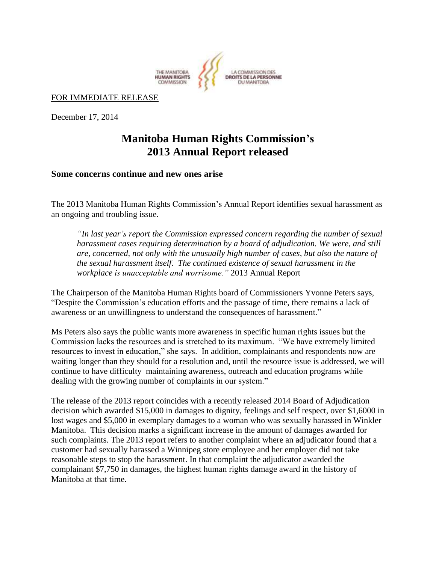

## FOR IMMEDIATE RELEASE

December 17, 2014

## **Manitoba Human Rights Commission's 2013 Annual Report released**

**Some concerns continue and new ones arise**

The 2013 Manitoba Human Rights Commission's Annual Report identifies sexual harassment as an ongoing and troubling issue.

*"In last year's report the Commission expressed concern regarding the number of sexual harassment cases requiring determination by a board of adjudication. We were, and still are, concerned, not only with the unusually high number of cases, but also the nature of the sexual harassment itself. The continued existence of sexual harassment in the workplace is unacceptable and worrisome."* 2013 Annual Report

The Chairperson of the Manitoba Human Rights board of Commissioners Yvonne Peters says, "Despite the Commission's education efforts and the passage of time, there remains a lack of awareness or an unwillingness to understand the consequences of harassment."

Ms Peters also says the public wants more awareness in specific human rights issues but the Commission lacks the resources and is stretched to its maximum. "We have extremely limited resources to invest in education," she says. In addition, complainants and respondents now are waiting longer than they should for a resolution and, until the resource issue is addressed, we will continue to have difficulty maintaining awareness, outreach and education programs while dealing with the growing number of complaints in our system."

The release of the 2013 report coincides with a recently released 2014 Board of Adjudication decision which awarded \$15,000 in damages to dignity, feelings and self respect, over \$1,6000 in lost wages and \$5,000 in exemplary damages to a woman who was sexually harassed in Winkler Manitoba. This decision marks a significant increase in the amount of damages awarded for such complaints. The 2013 report refers to another complaint where an adjudicator found that a customer had sexually harassed a Winnipeg store employee and her employer did not take reasonable steps to stop the harassment. In that complaint the adjudicator awarded the complainant \$7,750 in damages, the highest human rights damage award in the history of Manitoba at that time.